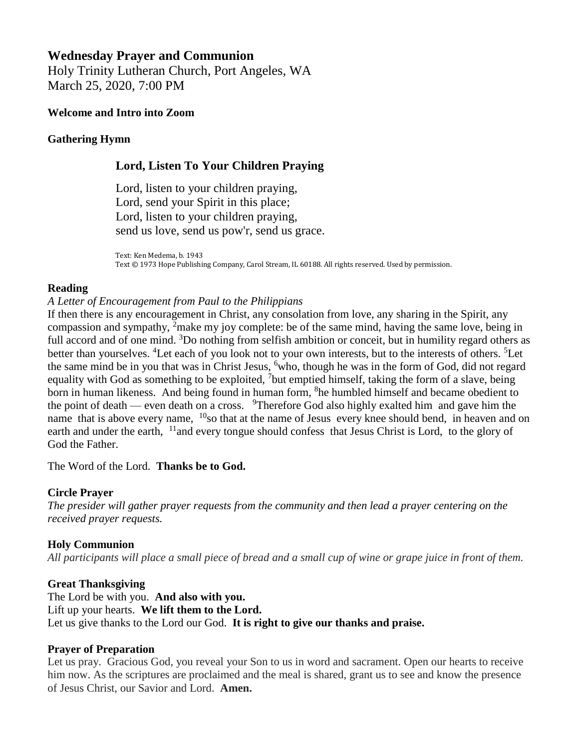# **Wednesday Prayer and Communion**

Holy Trinity Lutheran Church, Port Angeles, WA March 25, 2020, 7:00 PM

#### **Welcome and Intro into Zoom**

### **Gathering Hymn**

## **Lord, Listen To Your Children Praying**

Lord, listen to your children praying, Lord, send your Spirit in this place; Lord, listen to your children praying, send us love, send us pow'r, send us grace.

Text: Ken Medema, b. 1943 Text © 1973 Hope Publishing Company, Carol Stream, IL 60188. All rights reserved. Used by permission.

### **Reading**

### *A Letter of Encouragement from Paul to the Philippians*

If then there is any encouragement in Christ, any consolation from love, any sharing in the Spirit, any compassion and sympathy, <sup>2</sup>make my joy complete: be of the same mind, having the same love, being in full accord and of one mind. <sup>3</sup>Do nothing from selfish ambition or conceit, but in humility regard others as better than yourselves. <sup>4</sup>Let each of you look not to your own interests, but to the interests of others. <sup>5</sup>Let the same mind be in you that was in Christ Jesus, <sup>6</sup>who, though he was in the form of God, did not regard equality with God as something to be exploited, <sup>7</sup>but emptied himself, taking the form of a slave, being born in human likeness. And being found in human form, <sup>8</sup>he humbled himself and became obedient to the point of death — even death on a cross.  $9$ Therefore God also highly exalted him and gave him the name that is above every name, <sup>10</sup>so that at the name of Jesus every knee should bend, in heaven and on earth and under the earth, <sup>11</sup>and every tongue should confess that Jesus Christ is Lord, to the glory of God the Father.

The Word of the Lord. **Thanks be to God.**

## **Circle Prayer**

*The presider will gather prayer requests from the community and then lead a prayer centering on the received prayer requests.*

#### **Holy Communion**

*All participants will place a small piece of bread and a small cup of wine or grape juice in front of them.*

#### **Great Thanksgiving**

The Lord be with you. **And also with you.** Lift up your hearts. **We lift them to the Lord.** Let us give thanks to the Lord our God. **It is right to give our thanks and praise.**

#### **Prayer of Preparation**

Let us pray. Gracious God, you reveal your Son to us in word and sacrament. Open our hearts to receive him now. As the scriptures are proclaimed and the meal is shared, grant us to see and know the presence of Jesus Christ, our Savior and Lord. **Amen.**